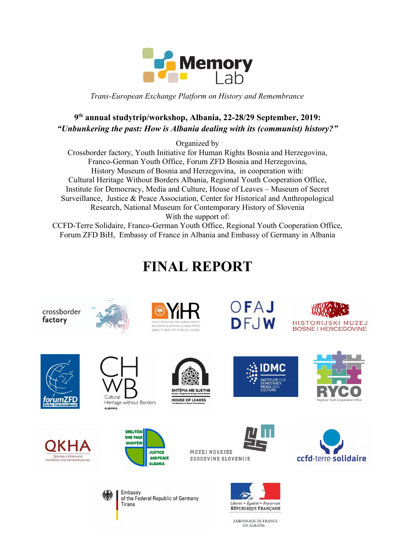

*Trans-European Exchange Platform on History and Remembrance*

## **9 th annual studytrip/workshop, Albania, 22-28/29 September, 2019:** *"Unbunkering the past: How is Albania dealing with its (communist) history?"*

Organized by

Crossborder factory, Youth Initiative for Human Rights Bosnia and Herzegovina, Franco-German Youth Office, Forum ZFD Bosnia and Herzegovina, History Museum of Bosnia and Herzegovina, in cooperation with: Cultural Heritage Without Borders Albania, Regional Youth Cooperation Office, Institute for Democracy, Media and Culture, House of Leaves – Museum of Secret Surveillance, Justice & Peace Association, Center for Historical and Anthropological Research, National Museum for Contemporary History of Slovenia With the support of:

CCFD-Terre Solidaire, Franco-German Youth Office, Regional Youth Cooperation Office, Forum ZFD BiH, Embassy of France in Albania and Embassy of Germany in Albania

# **FINAL REPORT**

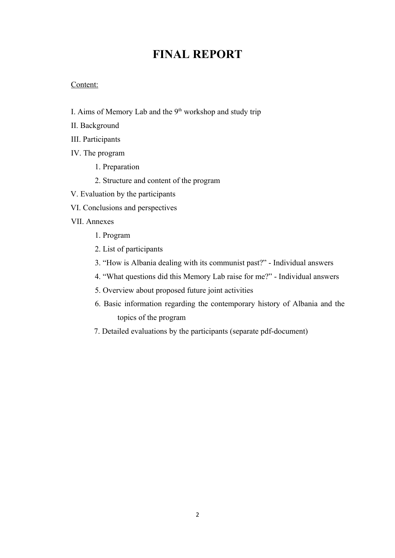## **FINAL REPORT**

#### Content:

- I. Aims of Memory Lab and the  $9<sup>th</sup>$  workshop and study trip
- II. Background
- III. Participants
- IV. The program
	- 1. Preparation
	- 2. Structure and content of the program
- V. Evaluation by the participants
- VI. Conclusions and perspectives
- VII. Annexes
	- 1. Program
	- 2. List of participants
	- 3. "How is Albania dealing with its communist past?" Individual answers
	- 4. "What questions did this Memory Lab raise for me?" Individual answers
	- 5. Overview about proposed future joint activities
	- 6. Basic information regarding the contemporary history of Albania and the topics of the program
	- 7. Detailed evaluations by the participants (separate pdf-document)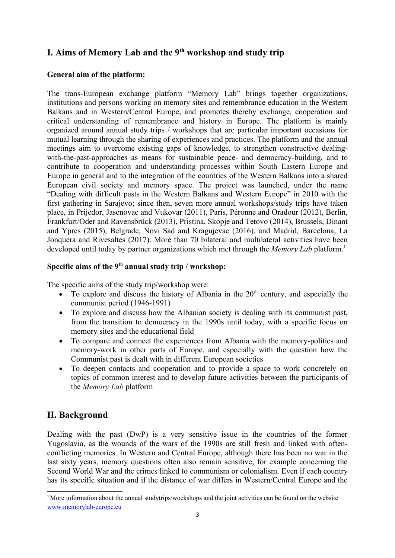## **I. Aims of Memory Lab and the 9th workshop and study trip**

#### **General aim of the platform:**

The trans-European exchange platform "Memory Lab" brings together organizations, institutions and persons working on memory sites and remembrance education in the Western Balkans and in Western/Central Europe, and promotes thereby exchange, cooperation and critical understanding of remembrance and history in Europe. The platform is mainly organized around annual study trips / workshops that are particular important occasions for mutual learning through the sharing of experiences and practices. The platform and the annual meetings aim to overcome existing gaps of knowledge, to strengthen constructive dealingwith-the-past-approaches as means for sustainable peace- and democracy-building, and to contribute to cooperation and understanding processes within South Eastern Europe and Europe in general and to the integration of the countries of the Western Balkans into a shared European civil society and memory space. The project was launched, under the name "Dealing with difficult pasts in the Western Balkans and Western Europe" in 2010 with the first gathering in Sarajevo; since then, seven more annual workshops/study trips have taken place, in Prijedor, Jasenovac and Vukovar (2011), Paris, Péronne and Oradour (2012), Berlin, Frankfurt/Oder and Ravensbrück (2013), Pristina, Skopje and Tetovo (2014), Brussels, Dinant and Ypres (2015), Belgrade, Novi Sad and Kragujevac (2016), and Madrid, Barcelona, La Jonquera and Rivesaltes (2017). More than 70 bilateral and multilateral activities have been developed until today by partner organizations which met through the *Memory Lab* platform.<sup>[1](#page-2-0)</sup>

### **Specific aims of the 9th annual study trip / workshop:**

The specific aims of the study trip/workshop were:

- $\bullet$  To explore and discuss the history of Albania in the 20<sup>th</sup> century, and especially the communist period (1946-1991)
- To explore and discuss how the Albanian society is dealing with its communist past, from the transition to democracy in the 1990s until today, with a specific focus on memory sites and the educational field
- To compare and connect the experiences from Albania with the memory-politics and memory-work in other parts of Europe, and especially with the question how the Communist past is dealt with in different European societies
- To deepen contacts and cooperation and to provide a space to work concretely on topics of common interest and to develop future activities between the participants of the *Memory Lab* platform

## **II. Background**

Dealing with the past (DwP) is a very sensitive issue in the countries of the former Yugoslavia, as the wounds of the wars of the 1990s are still fresh and linked with oftenconflicting memories. In Western and Central Europe, although there has been no war in the last sixty years, memory questions often also remain sensitive, for example concerning the Second World War and the crimes linked to communism or colonialism. Even if each country has its specific situation and if the distance of war differs in Western/Central Europe and the

<span id="page-2-0"></span><sup>&</sup>lt;sup>1</sup>More information about the annual studytrips/woekshops and the joint activities can be found on the website [www.memorylab-europe.eu](http://www.memorylab-europe.eu/)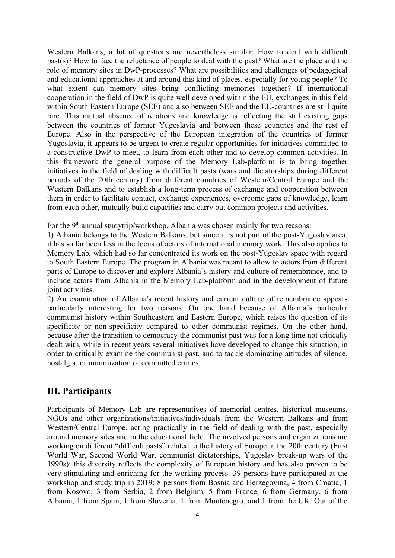Western Balkans, a lot of questions are nevertheless similar: How to deal with difficult past(s)? How to face the reluctance of people to deal with the past? What are the place and the role of memory sites in DwP-processes? What are possibilities and challenges of pedagogical and educational approaches at and around this kind of places, especially for young people? To what extent can memory sites bring conflicting memories together? If international cooperation in the field of DwP is quite well developed within the EU, exchanges in this field within South Eastern Europe (SEE) and also between SEE and the EU-countries are still quite rare. This mutual absence of relations and knowledge is reflecting the still existing gaps between the countries of former Yugoslavia and between these countries and the rest of Europe. Also in the perspective of the European integration of the countries of former Yugoslavia, it appears to be urgent to create regular opportunities for initiatives committed to a constructive DwP to meet, to learn from each other and to develop common activities. In this framework the general purpose of the Memory Lab-platform is to bring together initiatives in the field of dealing with difficult pasts (wars and dictatorships during different periods of the 20th century) from different countries of Western/Central Europe and the Western Balkans and to establish a long-term process of exchange and cooperation between them in order to facilitate contact, exchange experiences, overcome gaps of knowledge, learn from each other, mutually build capacities and carry out common projects and activities.

For the  $9<sup>th</sup>$  annual studytrip/workshop, Albania was chosen mainly for two reasons:

1) Albania belongs to the Western Balkans, but since it is not part of the post-Yugoslav area, it has so far been less in the focus of actors of international memory work. This also applies to Memory Lab, which had so far concentrated its work on the post-Yugoslav space with regard to South Eastern Europe. The program in Albania was meant to allow to actors from different parts of Europe to discover and explore Albania's history and culture of remembrance, and to include actors from Albania in the Memory Lab-platform and in the development of future joint activities.

2) An examination of Albania's recent history and current culture of remembrance appears particularly interesting for two reasons: On one hand because of Albania's particular communist history within Southeastern and Eastern Europe, which raises the question of its specificity or non-specificity compared to other communist regimes. On the other hand, because after the transition to democracy the communist past was for a long time not critically dealt with, while in recent years several initiatives have developed to change this situation, in order to critically examine the communist past, and to tackle dominating attitudes of silence, nostalgia, or minimization of committed crimes.

### **III. Participants**

Participants of Memory Lab are representatives of memorial centres, historical museums, NGOs and other organizations/initiatives/individuals from the Western Balkans and from Western/Central Europe, acting practically in the field of dealing with the past, especially around memory sites and in the educational field. The involved persons and organizations are working on different "difficult pasts" related to the history of Europe in the 20th century (First World War, Second World War, communist dictatorships, Yugoslav break-up wars of the 1990s): this diversity reflects the complexity of European history and has also proven to be very stimulating and enriching for the working process. 39 persons have participated at the workshop and study trip in 2019: 8 persons from Bosnia and Herzegovina, 4 from Croatia, 1 from Kosovo, 3 from Serbia, 2 from Belgium, 5 from France, 6 from Germany, 6 from Albania, 1 from Spain, 1 from Slovenia, 1 from Montenegro, and 1 from the UK. Out of the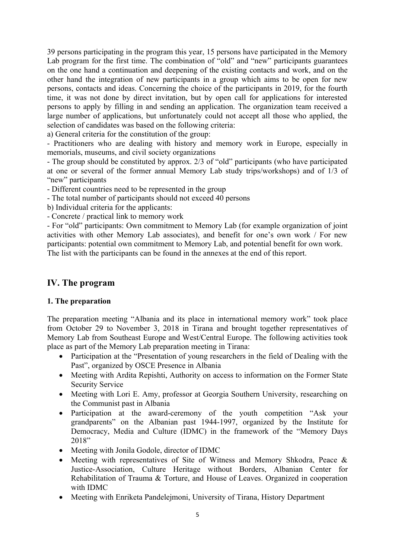39 persons participating in the program this year, 15 persons have participated in the Memory Lab program for the first time. The combination of "old" and "new" participants guarantees on the one hand a continuation and deepening of the existing contacts and work, and on the other hand the integration of new participants in a group which aims to be open for new persons, contacts and ideas. Concerning the choice of the participants in 2019, for the fourth time, it was not done by direct invitation, but by open call for applications for interested persons to apply by filling in and sending an application. The organization team received a large number of applications, but unfortunately could not accept all those who applied, the selection of candidates was based on the following criteria:

a) General criteria for the constitution of the group:

- Practitioners who are dealing with history and memory work in Europe, especially in memorials, museums, and civil society organizations

- The group should be constituted by approx. 2/3 of "old" participants (who have participated at one or several of the former annual Memory Lab study trips/workshops) and of 1/3 of "new" participants

- Different countries need to be represented in the group

- The total number of participants should not exceed 40 persons

b) Individual criteria for the applicants:

- Concrete / practical link to memory work

- For "old" participants: Own commitment to Memory Lab (for example organization of joint activities with other Memory Lab associates), and benefit for one's own work / For new participants: potential own commitment to Memory Lab, and potential benefit for own work. The list with the participants can be found in the annexes at the end of this report.

## **IV. The program**

#### **1. The preparation**

The preparation meeting "Albania and its place in international memory work" took place from October 29 to November 3, 2018 in Tirana and brought together representatives of Memory Lab from Southeast Europe and West/Central Europe. The following activities took place as part of the Memory Lab preparation meeting in Tirana:

- Participation at the "Presentation of young researchers in the field of Dealing with the Past", organized by OSCE Presence in Albania
- Meeting with Ardita Repishti, Authority on access to information on the Former State Security Service
- Meeting with Lori E. Amy, professor at Georgia Southern University, researching on the Communist past in Albania
- Participation at the award-ceremony of the youth competition "Ask your grandparents" on the Albanian past 1944-1997, organized by the Institute for Democracy, Media and Culture (IDMC) in the framework of the "Memory Days 2018"
- Meeting with Jonila Godole, director of IDMC
- Meeting with representatives of Site of Witness and Memory Shkodra, Peace & Justice-Association, Culture Heritage without Borders, Albanian Center for Rehabilitation of Trauma & Torture, and House of Leaves. Organized in cooperation with IDMC
- Meeting with Enriketa Pandelejmoni, University of Tirana, History Department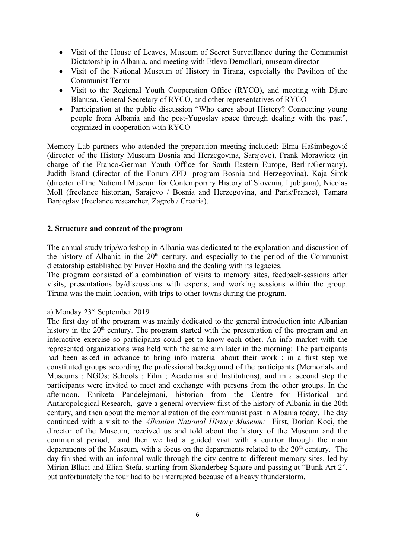- Visit of the House of Leaves, Museum of Secret Surveillance during the Communist Dictatorship in Albania, and meeting with Etleva Demollari, museum director
- Visit of the National Museum of History in Tirana, especially the Pavilion of the Communist Terror
- Visit to the Regional Youth Cooperation Office (RYCO), and meeting with Djuro Blanusa, General Secretary of RYCO, and other representatives of RYCO
- Participation at the public discussion "Who cares about History? Connecting young people from Albania and the post-Yugoslav space through dealing with the past", organized in cooperation with RYCO

Memory Lab partners who attended the preparation meeting included: Elma Hašimbegović (director of the History Museum Bosnia and Herzegovina, Sarajevo), Frank Morawietz (in charge of the Franco-German Youth Office for South Eastern Europe, Berlin/Germany), Judith Brand (director of the Forum ZFD- program Bosnia and Herzegovina), Kaja Širok (director of the National Museum for Contemporary History of Slovenia, Ljubljana), Nicolas Moll (freelance historian, Sarajevo / Bosnia and Herzegovina, and Paris/France), Tamara Banjeglav (freelance researcher, Zagreb / Croatia).

#### **2. Structure and content of the program**

The annual study trip/workshop in Albania was dedicated to the exploration and discussion of the history of Albania in the  $20<sup>th</sup>$  century, and especially to the period of the Communist dictatorship established by Enver Hoxha and the dealing with its legacies.

The program consisted of a combination of visits to memory sites, feedback-sessions after visits, presentations by/discussions with experts, and working sessions within the group. Tirana was the main location, with trips to other towns during the program.

#### a) Monday 23rd September 2019

The first day of the program was mainly dedicated to the general introduction into Albanian history in the  $20<sup>th</sup>$  century. The program started with the presentation of the program and an interactive exercise so participants could get to know each other. An info market with the represented organizations was held with the same aim later in the morning: The participants had been asked in advance to bring info material about their work ; in a first step we constituted groups according the professional background of the participants (Memorials and Museums ; NGOs; Schools ; Film ; Academia and Institutions), and in a second step the participants were invited to meet and exchange with persons from the other groups. In the afternoon, Enriketa Pandelejmoni, historian from the Centre for Historical and Anthropological Research, gave a general overview first of the history of Albania in the 20th century, and then about the memorialization of the communist past in Albania today. The day continued with a visit to the *Albanian National History Museum:* First, Dorian Koci, the director of the Museum, received us and told about the history of the Museum and the communist period, and then we had a guided visit with a curator through the main departments of the Museum, with a focus on the departments related to the  $20<sup>th</sup>$  century. The day finished with an informal walk through the city centre to different memory sites, led by Mirian Bllaci and Elian Stefa, starting from Skanderbeg Square and passing at "Bunk Art 2", but unfortunately the tour had to be interrupted because of a heavy thunderstorm.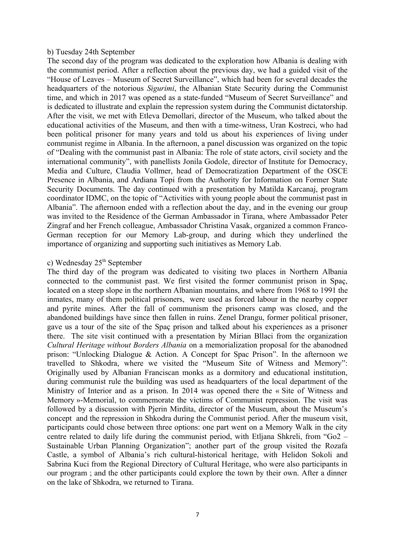#### b) Tuesday 24th September

The second day of the program was dedicated to the exploration how Albania is dealing with the communist period. After a reflection about the previous day, we had a guided visit of the "House of Leaves – Museum of Secret Surveillance", which had been for several decades the headquarters of the notorious *Sigurimi*, the Albanian State Security during the Communist time, and which in 2017 was opened as a state-funded "Museum of Secret Surveillance" and is dedicated to illustrate and explain the repression system during the Communist dictatorship. After the visit, we met with Etleva Demollari, director of the Museum, who talked about the educational activities of the Museum, and then with a time-witness, Uran Kostreci, who had been political prisoner for many years and told us about his experiences of living under communist regime in Albania. In the afternoon, a panel discussion was organized on the topic of "Dealing with the communist past in Albania: The role of state actors, civil society and the international community", with panellists Jonila Godole, director of Institute for Democracy, Media and Culture, Claudia Vollmer, head of Democratization Department of the OSCE Presence in Albania, and Ardiana Topi from the Authority for Information on Former State Security Documents. The day continued with a presentation by Matilda Karcanaj, program coordinator IDMC, on the topic of "Activities with young people about the communist past in Albania". The afternoon ended with a reflection about the day, and in the evening our group was invited to the Residence of the German Ambassador in Tirana, where Ambassador Peter Zingraf and her French colleague, Ambassador Christina Vasak, organized a common Franco-German reception for our Memory Lab-group, and during which they underlined the importance of organizing and supporting such initiatives as Memory Lab.

#### c) Wednesday 25<sup>th</sup> September

The third day of the program was dedicated to visiting two places in Northern Albania connected to the communist past. We first visited the former communist prison in Spaç, located on a steep slope in the northern Albanian mountains, and where from 1968 to 1991 the inmates, many of them political prisoners, were used as forced labour in the nearby copper and pyrite mines. After the fall of communism the prisoners camp was closed, and the abandoned buildings have since then fallen in ruins. Zenel Drangu, former political prisoner, gave us a tour of the site of the Spaç prison and talked about his experiences as a prisoner there. The site visit continued with a presentation by Mirian Bllaci from the organization *Cultural Heritage without Borders Albania* on a memorialization proposal for the abanodned prison: "Unlocking Dialogue & Action. A Concept for Spac Prison". In the afternoon we travelled to Shkodra, where we visited the "Museum Site of Witness and Memory": Originally used by Albanian Franciscan monks as a dormitory and educational institution, during communist rule the building was used as headquarters of the local department of the Ministry of Interior and as a prison. In 2014 was opened there the « Site of Witness and Memory »-Memorial, to commemorate the victims of Communist repression. The visit was followed by a discussion with Pjerin Mirdita, director of the Museum, about the Museum's concept and the repression in Shkodra during the Communist period. After the museum visit, participants could chose between three options: one part went on a Memory Walk in the city centre related to daily life during the communist period, with Etljana Shkreli, from "Go2 – Sustainable Urban Planning Organization"; another part of the group visited the Rozafa Castle, a symbol of Albania's rich cultural-historical heritage, with Helidon Sokoli and Sabrina Kuci from the Regional Directory of Cultural Heritage, who were also participants in our program ; and the other participants could explore the town by their own. After a dinner on the lake of Shkodra, we returned to Tirana.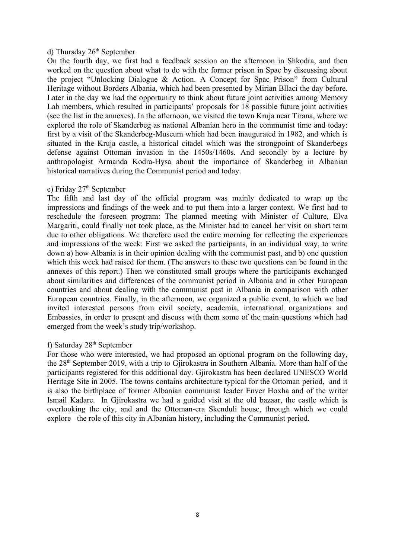#### d) Thursday  $26<sup>th</sup>$  September

On the fourth day, we first had a feedback session on the afternoon in Shkodra, and then worked on the question about what to do with the former prison in Spac by discussing about the project "Unlocking Dialogue & Action. A Concept for Spac Prison" from Cultural Heritage without Borders Albania, which had been presented by Mirian Bllaci the day before. Later in the day we had the opportunity to think about future joint activities among Memory Lab members, which resulted in participants' proposals for 18 possible future joint activities (see the list in the annexes). In the afternoon, we visited the town Kruja near Tirana, where we explored the role of Skanderbeg as national Albanian hero in the communist time and today: first by a visit of the Skanderbeg-Museum which had been inaugurated in 1982, and which is situated in the Kruja castle, a historical citadel which was the strongpoint of Skanderbegs defense against Ottoman invasion in the 1450s/1460s. And secondly by a lecture by anthropologist Armanda Kodra-Hysa about the importance of Skanderbeg in Albanian historical narratives during the Communist period and today.

#### e) Friday 27<sup>th</sup> September

The fifth and last day of the official program was mainly dedicated to wrap up the impressions and findings of the week and to put them into a larger context. We first had to reschedule the foreseen program: The planned meeting with Minister of Culture, Elva Margariti, could finally not took place, as the Minister had to cancel her visit on short term due to other obligations. We therefore used the entire morning for reflecting the experiences and impressions of the week: First we asked the participants, in an individual way, to write down a) how Albania is in their opinion dealing with the communist past, and b) one question which this week had raised for them. (The answers to these two questions can be found in the annexes of this report.) Then we constituted small groups where the participants exchanged about similarities and differences of the communist period in Albania and in other European countries and about dealing with the communist past in Albania in comparison with other European countries. Finally, in the afternoon, we organized a public event, to which we had invited interested persons from civil society, academia, international organizations and Embassies, in order to present and discuss with them some of the main questions which had emerged from the week's study trip/workshop.

#### f) Saturday  $28<sup>th</sup>$  September

For those who were interested, we had proposed an optional program on the following day, the 28th September 2019, with a trip to Gjirokastra in Southern Albania. More than half of the participants registered for this additional day. Gjirokastra has been declared UNESCO World Heritage Site in 2005. The towns contains architecture typical for the Ottoman period, and it is also the birthplace of former Albanian communist leader Enver Hoxha and of the writer Ismail Kadare. In Gjirokastra we had a guided visit at the old bazaar, the castle which is overlooking the city, and and the Ottoman-era Skenduli house, through which we could explore the role of this city in Albanian history, including the Communist period.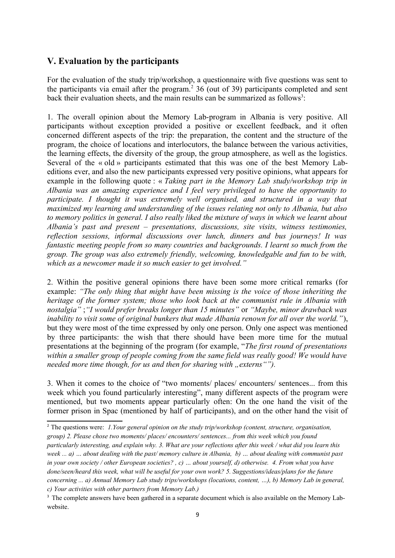## **V. Evaluation by the participants**

For the evaluation of the study trip/workshop, a questionnaire with five questions was sent to the participants via email after the program.<sup>[2](#page-8-0)</sup> 36 (out of 39) participants completed and sent back their evaluation sheets, and the main results can be summarized as follows<sup>[3](#page-8-1)</sup>:

1. The overall opinion about the Memory Lab-program in Albania is very positive. All participants without exception provided a positive or excellent feedback, and it often concerned different aspects of the trip: the preparation, the content and the structure of the program, the choice of locations and interlocutors, the balance between the various activities, the learning effects, the diversity of the group, the group atmosphere, as well as the logistics. Several of the « old » participants estimated that this was one of the best Memory Labeditions ever, and also the new participants expressed very positive opinions, what appears for example in the following quote : « *Taking part in the Memory Lab study/workshop trip in Albania was an amazing experience and I feel very privileged to have the opportunity to participate. I thought it was extremely well organised, and structured in a way that maximized my learning and understanding of the issues relating not only to Albania, but also to memory politics in general. I also really liked the mixture of ways in which we learnt about Albania's past and present – presentations, discussions, site visits, witness testimonies, reflection sessions, informal discussions over lunch, dinners and bus journeys! It was fantastic meeting people from so many countries and backgrounds. I learnt so much from the group. The group was also extremely friendly, welcoming, knowledgable and fun to be with, which as a newcomer made it so much easier to get involved."*

2. Within the positive general opinions there have been some more critical remarks (for example: *"The only thing that might have been missing is the voice of those inheriting the heritage of the former system; those who look back at the communist rule in Albania with nostalgia"* ;*"I would prefer breaks longer than 15 minutes"* or *"Maybe, minor drawback was inability to visit some of original bunkers that made Albania renown for all over the world."*), but they were most of the time expressed by only one person. Only one aspect was mentioned by three participants: the wish that there should have been more time for the mutual presentations at the beginning of the program (for example, "*The first round of presentations within a smaller group of people coming from the same field was really good! We would have needed more time though, for us and then for sharing with "externs"").* 

3. When it comes to the choice of "two moments/ places/ encounters/ sentences... from this week which you found particularly interesting", many different aspects of the program were mentioned, but two moments appear particularly often: On the one hand the visit of the former prison in Spac (mentioned by half of participants), and on the other hand the visit of

<span id="page-8-0"></span><sup>2</sup> The questions were: *1.Your general opinion on the study trip/workshop (content, structure, organisation, group) 2. Please chose two moments/ places/ encounters/ sentences... from this week which you found particularly interesting, and explain why. 3. What are your reflections after this week / what did you learn this week ... a) … about dealing with the past/ memory culture in Albania, b) … about dealing with communist past in your own society / other European societies? , c) … about yourself, d) otherwise. 4. From what you have done/seen/heard this week, what will be useful for your own work? 5. Suggestions/ideas/plans for the future concerning ... a) Annual Memory Lab study trips/workshops (locations, content, …), b) Memory Lab in general, c) Your activities with other partners from Memory Lab.)*

<span id="page-8-1"></span><sup>&</sup>lt;sup>3</sup> The complete answers have been gathered in a separate document which is also available on the Memory Labwebsite.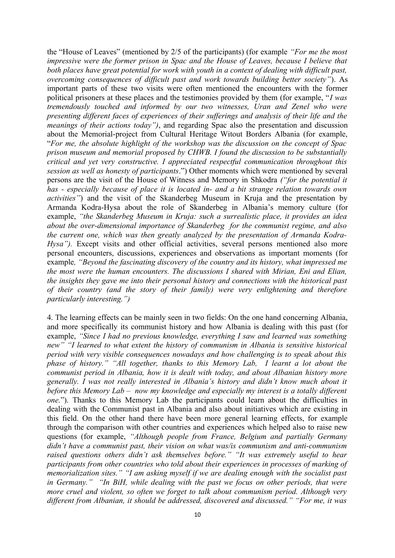the "House of Leaves" (mentioned by 2/5 of the participants) (for example *"For me the most impressive were the former prison in Spac and the House of Leaves, because I believe that both places have great potential for work with youth in a context of dealing with difficult past, overcoming consequences of difficult past and work towards building better society"*). As important parts of these two visits were often mentioned the encounters with the former political prisoners at these places and the testimonies provided by them (for example, "*I was tremendously touched and informed by our two witnesses, Uran and Zenel who were presenting different faces of experiences of their sufferings and analysis of their life and the meanings of their actions today")*, and regarding Spac also the presentation and discussion about the Memorial-project from Cultural Heritage Witout Borders Albania (for example, "*For me, the absolute highlight of the workshop was the discussion on the concept of Spac prison museum and memorial proposed by CHWB. I found the discussion to be substantially critical and yet very constructive. I appreciated respectful communication throughout this session as well as honesty of participants*.") Other moments which were mentioned by several persons are the visit of the House of Witness and Memory in Shkodra *("for the potential it has - especially because of place it is located in- and a bit strange relation towards own activities"*) and the visit of the Skanderbeg Museum in Kruja and the presentation by Armanda Kodra-Hysa about the role of Skanderbeg in Albania's memory culture (for example, *"the Skanderbeg Museum in Kruja: such a surrealistic place, it provides an idea about the over-dimensional importance of Skanderbeg for the communist regime, and also the current one, which was then greatly analyzed by the presentation of Armanda Kodra-Hysa"*). Except visits and other official activities, several persons mentioned also more personal encounters, discussions, experiences and observations as important moments (for example*, "Beyond the fascinating discovery of the country and its history, what impressed me the most were the human encounters. The discussions I shared with Mirian, Eni and Elian, the insights they gave me into their personal history and connections with the historical past of their country (and the story of their family) were very enlightening and therefore particularly interesting.")*

4. The learning effects can be mainly seen in two fields: On the one hand concerning Albania, and more specifically its communist history and how Albania is dealing with this past (for example, *"Since I had no previous knowledge, everything I saw and learned was something new" "I learned to what extent the history of communism in Albania is sensitive historical period with very visible consequences nowadays and how challenging is to speak about this phase of history." "All together, thanks to this Memory Lab, I learnt a lot about the communist period in Albania, how it is dealt with today, and about Albanian history more generally. I was not really interested in Albania's history and didn't know much about it before this Memory Lab – now my knowledge and especially my interest is a totally different one.*"). Thanks to this Memory Lab the participants could learn about the difficulties in dealing with the Communist past in Albania and also about initiatives which are existing in this field. On the other hand there have been more general learning effects, for example through the comparison with other countries and experiences which helped also to raise new questions (for example, *"Although people from France, Belgium and partially Germany didn't have a communist past, their vision on what was/is communism and anti-communism raised questions others didn't ask themselves before." "It was extremely useful to hear participants from other countries who told about their experiences in processes of marking of memorialization sites." "I am asking myself if we are dealing enough with the socialist past in Germany." "In BiH, while dealing with the past we focus on other periods, that were more cruel and violent, so often we forget to talk about communism period. Although very different from Albanian, it should be addressed, discovered and discussed." "For me, it was*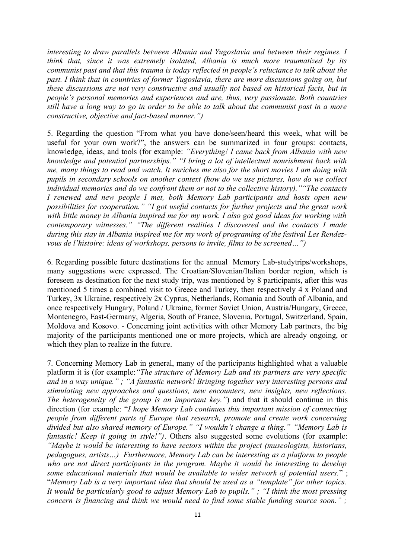*interesting to draw parallels between Albania and Yugoslavia and between their regimes. I think that, since it was extremely isolated, Albania is much more traumatized by its communist past and that this trauma is today reflected in people's reluctance to talk about the past. I think that in countries of former Yugoslavia, there are more discussions going on, but these discussions are not very constructive and usually not based on historical facts, but in people's personal memories and experiences and are, thus, very passionate. Both countries still have a long way to go in order to be able to talk about the communist past in a more constructive, objective and fact-based manner.")*

5. Regarding the question "From what you have done/seen/heard this week, what will be useful for your own work?", the answers can be summarized in four groups: contacts, knowledge, ideas, and tools (for example: *"Everything! I came back from Albania with new knowledge and potential partnerships." "I bring a lot of intellectual nourishment back with me, many things to read and watch. It enriches me also for the short movies I am doing with pupils in secondary schools on another context (how do we use pictures, how do we collect individual memories and do we confront them or not to the collective history).""The contacts I renewed and new people I met, both Memory Lab participants and hosts open new possibilities for cooperation." "I got useful contacts for further projects and the great work with little money in Albania inspired me for my work. I also got good ideas for working with contemporary witnesses." "The different realities I discovered and the contacts I made during this stay in Albania inspired me for my work of programing of the festival Les Rendezvous de l'histoire: ideas of workshops, persons to invite, films to be screened…")* 

6. Regarding possible future destinations for the annual Memory Lab-studytrips/workshops, many suggestions were expressed. The Croatian/Slovenian/Italian border region, which is foreseen as destination for the next study trip, was mentioned by 8 participants, after this was mentioned 5 times a combined visit to Greece and Turkey, then respectively 4 x Poland and Turkey, 3x Ukraine, respectively 2x Cyprus, Netherlands, Romania and South of Albania, and once respectively Hungary, Poland / Ukraine, former Soviet Union, Austria/Hungary, Greece, Montenegro, East-Germany, Algeria, South of France, Slovenia, Portugal, Switzerland, Spain, Moldova and Kosovo. - Concerning joint activities with other Memory Lab partners, the big majority of the participants mentioned one or more projects, which are already ongoing, or which they plan to realize in the future.

7. Concerning Memory Lab in general, many of the participants highlighted what a valuable platform it is (for example:*"The structure of Memory Lab and its partners are very specific and in a way unique." ; "A fantastic network! Bringing together very interesting persons and stimulating new approaches and questions, new encounters, new insights, new reflections. The heterogeneity of the group is an important key."*) and that it should continue in this direction (for example: "*I hope Memory Lab continues this important mission of connecting people from different parts of Europe that research, promote and create work concerning divided but also shared memory of Europe." "I wouldn't change a thing." "Memory Lab is fantastic! Keep it going in style!")*. Others also suggested some evolutions (for example: *"Maybe it would be interesting to have sectors within the project (museologists, historians, pedagogues, artists…) Furthermore, Memory Lab can be interesting as a platform to people who are not direct participants in the program. Maybe it would be interesting to develop some educational materials that would be available to wider network of potential users.*" ; "*Memory Lab is a very important idea that should be used as a "template" for other topics. It would be particularly good to adjust Memory Lab to pupils." ; "I think the most pressing concern is financing and think we would need to find some stable funding source soon." ;*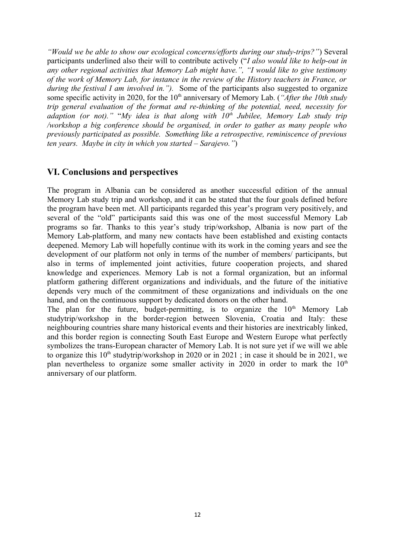*"Would we be able to show our ecological concerns/efforts during our study-trips?"*) Several participants underlined also their will to contribute actively ("*I also would like to help-out in any other regional activities that Memory Lab might have.", "I would like to give testimony of the work of Memory Lab, for instance in the review of the History teachers in France, or during the festival I am involved in.*"). Some of the participants also suggested to organize some specific activity in 2020, for the 10<sup>th</sup> anniversary of Memory Lab. (*"After the 10th study trip general evaluation of the format and re-thinking of the potential, need, necessity for adaption (or not)."* "*My idea is that along with 10th Jubilee, Memory Lab study trip /workshop a big conference should be organised, in order to gather as many people who previously participated as possible. Something like a retrospective, reminiscence of previous ten years. Maybe in city in which you started – Sarajevo."*)

#### **VI. Conclusions and perspectives**

The program in Albania can be considered as another successful edition of the annual Memory Lab study trip and workshop, and it can be stated that the four goals defined before the program have been met. All participants regarded this year's program very positively, and several of the "old" participants said this was one of the most successful Memory Lab programs so far. Thanks to this year's study trip/workshop, Albania is now part of the Memory Lab-platform, and many new contacts have been established and existing contacts deepened. Memory Lab will hopefully continue with its work in the coming years and see the development of our platform not only in terms of the number of members/ participants, but also in terms of implemented joint activities, future cooperation projects, and shared knowledge and experiences. Memory Lab is not a formal organization, but an informal platform gathering different organizations and individuals, and the future of the initiative depends very much of the commitment of these organizations and individuals on the one hand, and on the continuous support by dedicated donors on the other hand.

The plan for the future, budget-permitting, is to organize the  $10<sup>th</sup>$  Memory Lab studytrip/workshop in the border-region between Slovenia, Croatia and Italy: these neighbouring countries share many historical events and their histories are inextricably linked, and this border region is connecting South East Europe and Western Europe what perfectly symbolizes the trans-European character of Memory Lab. It is not sure yet if we will we able to organize this  $10<sup>th</sup>$  studytrip/workshop in 2020 or in 2021; in case it should be in 2021, we plan nevertheless to organize some smaller activity in 2020 in order to mark the  $10<sup>th</sup>$ anniversary of our platform.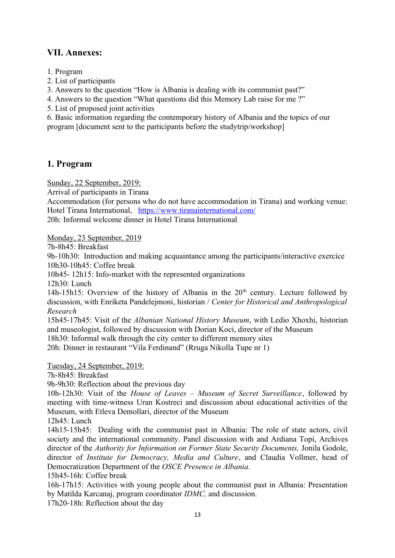## **VII. Annexes:**

1. Program

2. List of participants

3. Answers to the question "How is Albania is dealing with its communist past?"

4. Answers to the question "What questions did this Memory Lab raise for me ?"

5. List of proposed joint activities

6. Basic information regarding the contemporary history of Albania and the topics of our program [document sent to the participants before the studytrip/workshop]

## **1. Program**

Sunday, 22 September, 2019:

Arrival of participants in Tirana

Accommodation (for persons who do not have accommodation in Tirana) and working venue: Hotel Tirana International, <https://www.tiranainternational.com/> 20h: Informal welcome dinner in Hotel Tirana International

Monday, 23 September, 2019

7h-8h45: Breakfast

9h-10h30: Introduction and making acquaintance among the participants/interactive exercice 10h30-10h45: Coffee break

10h45- 12h15: Info-market with the represented organizations

12h30: Lunch

14h-15h15: Overview of the history of Albania in the  $20<sup>th</sup>$  century. Lecture followed by discussion, with Enriketa Pandelejmoni, historian / *Center for Historical and Anthropological Research*

15h45-17h45: Visit of the *Albanian National History Museum*, with Ledio Xhoxhi, historian and museologist, followed by discussion with Dorian Koci, director of the Museum

18h30: Informal walk through the city center to different memory sites

20h: Dinner in restaurant "Vila Ferdinand" (Rruga Nikolla Tupe nr 1)

Tuesday, 24 September, 2019:

7h-8h45: Breakfast

9h-9h30: Reflection about the previous day

10h-12h30: Visit of the *House of Leaves – Museum of Secret Surveillance*, followed by meeting with time-witness Uran Kostreci and discussion about educational activities of the Museum, with Etleva Demollari, director of the Museum

12h45: Lunch

14h15-15h45: Dealing with the communist past in Albania: The role of state actors, civil society and the international community. Panel discussion with and Ardiana Topi, Archives director of the *Authority for Information on Former State Security Documents*, Jonila Godole, director of *Institute for Democracy, Media and Culture*, and Claudia Vollmer, head of Democratization Department of the *OSCE Presence in Albania.* 

15h45-16h: Coffee break

16h-17h15: Activities with young people about the communist past in Albania: Presentation by Matilda Karcanaj, program coordinator *IDMC,* and discussion.

17h20-18h: Reflection about the day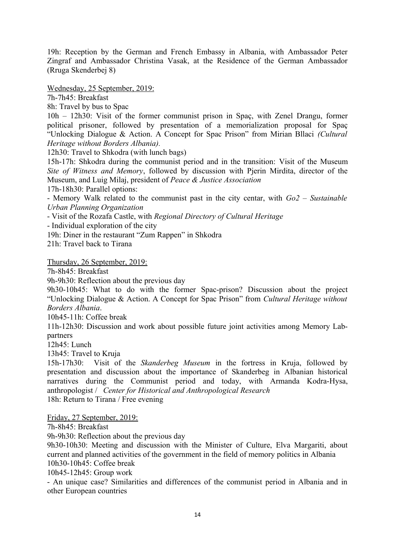19h: Reception by the German and French Embassy in Albania, with Ambassador Peter Zingraf and Ambassador Christina Vasak, at the Residence of the German Ambassador (Rruga Skenderbej 8)

Wednesday, 25 September, 2019:

7h-7h45: Breakfast

8h: Travel by bus to Spac

10h – 12h30: Visit of the former communist prison in Spaç, with Zenel Drangu, former political prisoner, followed by presentation of a memorialization proposal for Spaç "Unlocking Dialogue & Action. A Concept for Spac Prison" from Mirian Bllaci *(Cultural Heritage without Borders Albania).*

12h30: Travel to Shkodra (with lunch bags)

15h-17h: Shkodra during the communist period and in the transition: Visit of the Museum *Site of Witness and Memory*, followed by discussion with Pjerin Mirdita, director of the Museum, and Luig Milaj, president of *Peace & Justice Association*

17h-18h30: Parallel options:

- Memory Walk related to the communist past in the city centar, with *Go2 – Sustainable Urban Planning Organization*

- Visit of the Rozafa Castle, with *Regional Directory of Cultural Heritage*

- Individual exploration of the city

19h: Diner in the restaurant "Zum Rappen" in Shkodra

21h: Travel back to Tirana

Thursday, 26 September, 2019:

7h-8h45: Breakfast

9h-9h30: Reflection about the previous day

9h30-10h45: What to do with the former Spac-prison? Discussion about the project "Unlocking Dialogue & Action. A Concept for Spac Prison" from *Cultural Heritage without Borders Albania*.

10h45-11h: Coffee break

11h-12h30: Discussion and work about possible future joint activities among Memory Labpartners

12h45: Lunch

13h45: Travel to Kruja

15h-17h30: Visit of the *Skanderbeg Museum* in the fortress in Kruja, followed by presentation and discussion about the importance of Skanderbeg in Albanian historical narratives during the Communist period and today, with Armanda Kodra-Hysa, anthropologist / *Center for Historical and Anthropological Research* 18h: Return to Tirana / Free evening

Friday, 27 September, 2019:

7h-8h45: Breakfast

9h-9h30: Reflection about the previous day

9h30-10h30: Meeting and discussion with the Minister of Culture, Elva Margariti, about current and planned activities of the government in the field of memory politics in Albania 10h30-10h45: Coffee break

10h45-12h45: Group work

- An unique case? Similarities and differences of the communist period in Albania and in other European countries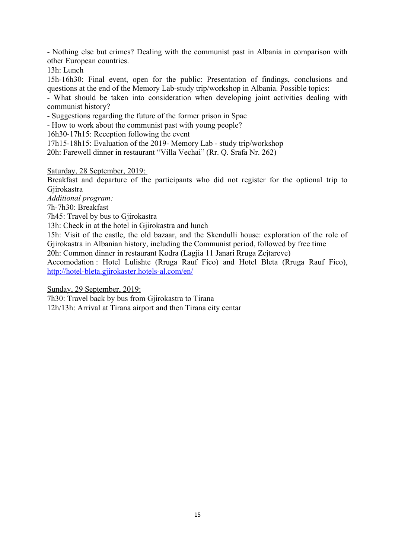- Nothing else but crimes? Dealing with the communist past in Albania in comparison with other European countries.

13h: Lunch

15h-16h30: Final event, open for the public: Presentation of findings, conclusions and questions at the end of the Memory Lab-study trip/workshop in Albania. Possible topics:

- What should be taken into consideration when developing joint activities dealing with communist history?

- Suggestions regarding the future of the former prison in Spac

- How to work about the communist past with young people?

16h30-17h15: Reception following the event

17h15-18h15: Evaluation of the 2019- Memory Lab - study trip/workshop

20h: Farewell dinner in restaurant "Villa Vechai" (Rr. Q. Srafa Nr. 262)

Saturday, 28 September, 2019:

Breakfast and departure of the participants who did not register for the optional trip to Gjirokastra

*Additional program:*

7h-7h30: Breakfast

7h45: Travel by bus to Gjirokastra

13h: Check in at the hotel in Gjirokastra and lunch

15h: Visit of the castle, the old bazaar, and the Skendulli house: exploration of the role of Gjirokastra in Albanian history, including the Communist period, followed by free time

20h: Common dinner in restaurant Kodra (Lagjia 11 Janari Rruga Zejtareve)

Accomodation : Hotel Lulishte (Rruga Rauf Fico) and Hotel Bleta (Rruga Rauf Fico), <http://hotel-bleta.gjirokaster.hotels-al.com/en/>

Sunday, 29 September, 2019:

7h30: Travel back by bus from Gjirokastra to Tirana

12h/13h: Arrival at Tirana airport and then Tirana city centar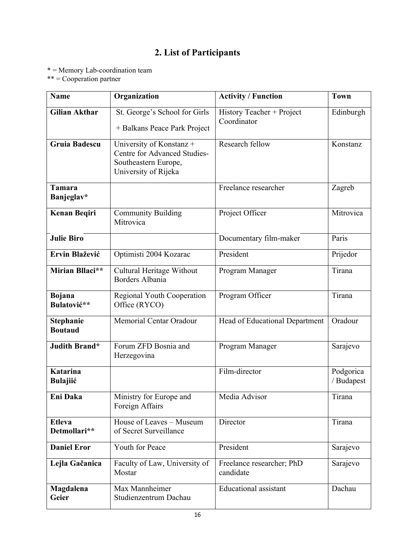## **2. List of Participants**

\* = Memory Lab-coordination team

\*\* = Cooperation partner

| <b>Name</b>                        | Organization                                                                                                    | <b>Activity / Function</b>               | <b>Town</b>             |
|------------------------------------|-----------------------------------------------------------------------------------------------------------------|------------------------------------------|-------------------------|
| <b>Gilian Akthar</b>               | St. George's School for Girls<br>+ Balkans Peace Park Project                                                   | History Teacher + Project<br>Coordinator | Edinburgh               |
| <b>Gruia Badescu</b>               | University of Konstanz +<br><b>Centre for Advanced Studies-</b><br>Southeastern Europe,<br>University of Rijeka | Research fellow                          | Konstanz                |
| <b>Tamara</b><br>Banjeglav*        |                                                                                                                 | Freelance researcher                     | Zagreb                  |
| Kenan Beqiri                       | <b>Community Building</b><br>Mitrovica                                                                          | Project Officer                          | Mitrovica               |
| <b>Julie Biro</b>                  |                                                                                                                 | Documentary film-maker                   | Paris                   |
| Ervin Blažević                     | Optimisti 2004 Kozarac                                                                                          | President                                | Prijedor                |
| Mirian Bllaci**                    | Cultural Heritage Without<br>Borders Albania                                                                    | Program Manager                          | Tirana                  |
| <b>Bojana</b><br>Bulatović**       | <b>Regional Youth Cooperation</b><br>Office (RYCO)                                                              | Program Officer                          | Tirana                  |
| <b>Stephanie</b><br><b>Boutaud</b> | Memorial Centar Oradour                                                                                         | Head of Educational Department           | Oradour                 |
| Judith Brand*                      | Forum ZFD Bosnia and<br>Herzegovina                                                                             | Program Manager                          | Sarajevo                |
| <b>Katarina</b><br><b>Bulajiić</b> |                                                                                                                 | Film-director                            | Podgorica<br>/ Budapest |
| Eni Daka                           | Ministry for Europe and<br>Foreign Affairs                                                                      | Media Advisor                            | Tirana                  |
| <b>Etleva</b><br>Detmollari**      | House of Leaves - Museum<br>of Secret Surveillance                                                              | Director                                 | Tirana                  |
| <b>Daniel Eror</b>                 | Youth for Peace                                                                                                 | President                                | Sarajevo                |
| Lejla Gačanica                     | Faculty of Law, University of<br>Mostar                                                                         | Freelance researcher; PhD<br>candidate   | Sarajevo                |
| Magdalena<br>Geier                 | Max Mannheimer<br>Studienzentrum Dachau                                                                         | <b>Educational</b> assistant             | Dachau                  |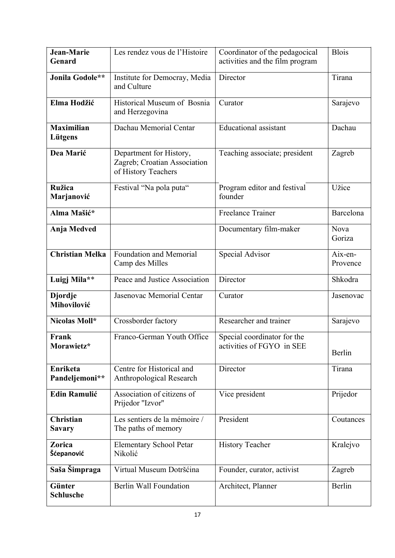| Jean-Marie<br>Genard              | Les rendez vous de l'Histoire                                                  | Coordinator of the pedagocical<br>activities and the film program | <b>Blois</b>        |
|-----------------------------------|--------------------------------------------------------------------------------|-------------------------------------------------------------------|---------------------|
| Jonila Godole**                   | Institute for Democray, Media<br>and Culture                                   | Director                                                          | Tirana              |
| Elma Hodžić                       | Historical Museum of Bosnia<br>and Herzegovina                                 | Curator                                                           | Sarajevo            |
| <b>Maximilian</b><br>Lütgens      | Dachau Memorial Centar                                                         | <b>Educational</b> assistant                                      | Dachau              |
| Dea Marić                         | Department for History,<br>Zagreb; Croatian Association<br>of History Teachers | Teaching associate; president                                     | Zagreb              |
| <b>Ružica</b><br>Marjanović       | Festival "Na pola puta"                                                        | Program editor and festival<br>founder                            | Užice               |
| Alma Mašić*                       |                                                                                | <b>Freelance Trainer</b>                                          | Barcelona           |
| Anja Medved                       |                                                                                | Documentary film-maker                                            | Nova<br>Goriza      |
| <b>Christian Melka</b>            | Foundation and Memorial<br>Camp des Milles                                     | Special Advisor                                                   | Aix-en-<br>Provence |
| Luigj Mila**                      | Peace and Justice Association                                                  | Director                                                          | Shkodra             |
| <b>Djordje</b><br>Mihovilović     | Jasenovac Memorial Centar                                                      | Curator                                                           | Jasenovac           |
| Nicolas Moll*                     | Crossborder factory                                                            | Researcher and trainer                                            | Sarajevo            |
| Frank<br>Morawietz*               | Franco-German Youth Office                                                     | Special coordinator for the<br>activities of FGYO in SEE          | Berlin              |
| Enriketa<br>Pandeljemoni**        | Centre for Historical and<br>Anthropological Research                          | Director                                                          | Tirana              |
| <b>Edin Ramulić</b>               | Association of citizens of<br>Prijedor "Izvor"                                 | Vice president                                                    | Prijedor            |
| <b>Christian</b><br><b>Savary</b> | Les sentiers de la mémoire /<br>The paths of memory                            | President                                                         | Coutances           |
| Zorica<br>Šćepanović              | <b>Elementary School Petar</b><br>Nikolić                                      | <b>History Teacher</b>                                            | Kralejvo            |
| Saša Šimpraga                     | Virtual Museum Dotršćina                                                       | Founder, curator, activist                                        | Zagreb              |
| Günter<br><b>Schlusche</b>        | <b>Berlin Wall Foundation</b>                                                  | Architect, Planner                                                | Berlin              |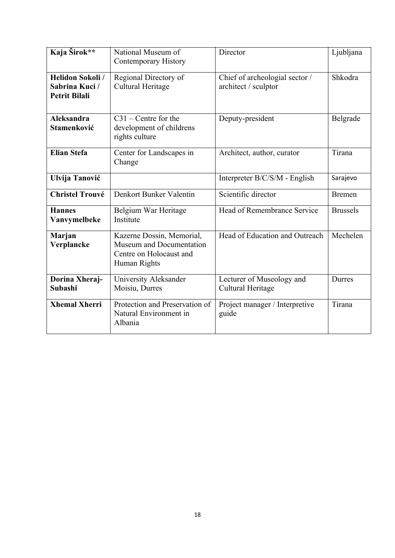| Kaja Širok**                                                      | National Museum of<br><b>Contemporary History</b>                                                | Director                                               | Ljubljana       |
|-------------------------------------------------------------------|--------------------------------------------------------------------------------------------------|--------------------------------------------------------|-----------------|
| <b>Helidon Sokoli /</b><br>Sabrina Kuci /<br><b>Petrit Bilali</b> | Regional Directory of<br>Cultural Heritage                                                       | Chief of archeologial sector /<br>architect / sculptor | Shkodra         |
| <b>Aleksandra</b><br><b>Stamenković</b>                           | $C31$ – Centre for the<br>development of childrens<br>rights culture                             | Deputy-president                                       | Belgrade        |
| <b>Elian Stefa</b>                                                | Center for Landscapes in<br>Change                                                               | Architect, author, curator                             | Tirana          |
| Ulvija Tanović                                                    |                                                                                                  | Interpreter B/C/S/M - English                          | Sarajevo        |
| <b>Christel Trouvé</b>                                            | Denkort Bunker Valentin                                                                          | Scientific director                                    | <b>Bremen</b>   |
| <b>Hannes</b><br>Vanvymelbeke                                     | Belgium War Heritage<br>Institute                                                                | Head of Remembrance Service                            | <b>Brussels</b> |
| Marjan<br>Verplancke                                              | Kazerne Dossin, Memorial,<br>Museum and Documentation<br>Centre on Holocaust and<br>Human Rights | Head of Education and Outreach                         | Mechelen        |
| Dorina Xheraj-<br>Subashi                                         | University Aleksander<br>Moisiu, Durres                                                          | Lecturer of Museology and<br>Cultural Heritage         | Durres          |
| <b>Xhemal Xherri</b>                                              | Protection and Preservation of<br>Natural Environment in<br>Albania                              | Project manager / Interpretive<br>guide                | Tirana          |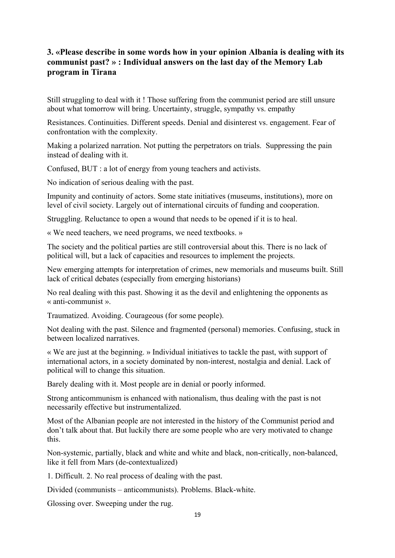### **3. «Please describe in some words how in your opinion Albania is dealing with its communist past? » : Individual answers on the last day of the Memory Lab program in Tirana**

Still struggling to deal with it ! Those suffering from the communist period are still unsure about what tomorrow will bring. Uncertainty, struggle, sympathy vs. empathy

Resistances. Continuities. Different speeds. Denial and disinterest vs. engagement. Fear of confrontation with the complexity.

Making a polarized narration. Not putting the perpetrators on trials. Suppressing the pain instead of dealing with it.

Confused, BUT : a lot of energy from young teachers and activists.

No indication of serious dealing with the past.

Impunity and continuity of actors. Some state initiatives (museums, institutions), more on level of civil society. Largely out of international circuits of funding and cooperation.

Struggling. Reluctance to open a wound that needs to be opened if it is to heal.

« We need teachers, we need programs, we need textbooks. »

The society and the political parties are still controversial about this. There is no lack of political will, but a lack of capacities and resources to implement the projects.

New emerging attempts for interpretation of crimes, new memorials and museums built. Still lack of critical debates (especially from emerging historians)

No real dealing with this past. Showing it as the devil and enlightening the opponents as « anti-communist ».

Traumatized. Avoiding. Courageous (for some people).

Not dealing with the past. Silence and fragmented (personal) memories. Confusing, stuck in between localized narratives.

« We are just at the beginning. » Individual initiatives to tackle the past, with support of international actors, in a society dominated by non-interest, nostalgia and denial. Lack of political will to change this situation.

Barely dealing with it. Most people are in denial or poorly informed.

Strong anticommunism is enhanced with nationalism, thus dealing with the past is not necessarily effective but instrumentalized.

Most of the Albanian people are not interested in the history of the Communist period and don't talk about that. But luckily there are some people who are very motivated to change this.

Non-systemic, partially, black and white and white and black, non-critically, non-balanced, like it fell from Mars (de-contextualized)

1. Difficult. 2. No real process of dealing with the past.

Divided (communists – anticommunists). Problems. Black-white.

Glossing over. Sweeping under the rug.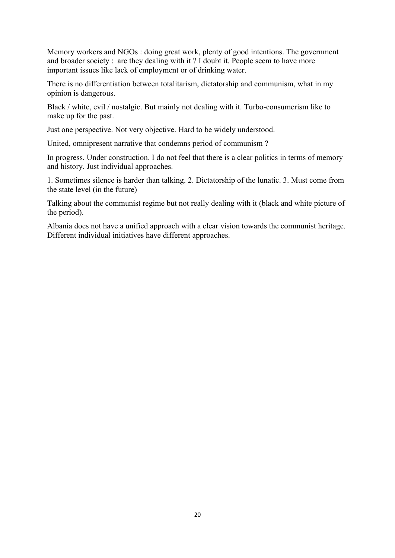Memory workers and NGOs : doing great work, plenty of good intentions. The government and broader society : are they dealing with it ? I doubt it. People seem to have more important issues like lack of employment or of drinking water.

There is no differentiation between totalitarism, dictatorship and communism, what in my opinion is dangerous.

Black / white, evil / nostalgic. But mainly not dealing with it. Turbo-consumerism like to make up for the past.

Just one perspective. Not very objective. Hard to be widely understood.

United, omnipresent narrative that condemns period of communism ?

In progress. Under construction. I do not feel that there is a clear politics in terms of memory and history. Just individual approaches.

1. Sometimes silence is harder than talking. 2. Dictatorship of the lunatic. 3. Must come from the state level (in the future)

Talking about the communist regime but not really dealing with it (black and white picture of the period).

Albania does not have a unified approach with a clear vision towards the communist heritage. Different individual initiatives have different approaches.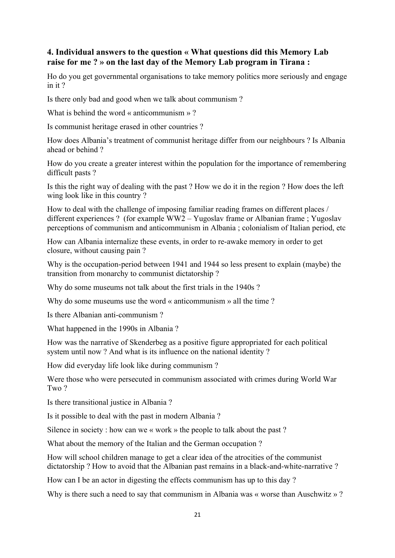### **4. Individual answers to the question « What questions did this Memory Lab raise for me ? » on the last day of the Memory Lab program in Tirana :**

Ho do you get governmental organisations to take memory politics more seriously and engage in it ?

Is there only bad and good when we talk about communism ?

What is behind the word  $\kappa$  anticommunism  $\gg$ ?

Is communist heritage erased in other countries ?

How does Albania's treatment of communist heritage differ from our neighbours ? Is Albania ahead or behind ?

How do you create a greater interest within the population for the importance of remembering difficult pasts ?

Is this the right way of dealing with the past ? How we do it in the region ? How does the left wing look like in this country ?

How to deal with the challenge of imposing familiar reading frames on different places / different experiences ? (for example WW2 – Yugoslav frame or Albanian frame ; Yugoslav perceptions of communism and anticommunism in Albania ; colonialism of Italian period, etc

How can Albania internalize these events, in order to re-awake memory in order to get closure, without causing pain ?

Why is the occupation-period between 1941 and 1944 so less present to explain (maybe) the transition from monarchy to communist dictatorship ?

Why do some museums not talk about the first trials in the 1940s ?

Why do some museums use the word « anticommunism » all the time ?

Is there Albanian anti-communism ?

What happened in the 1990s in Albania ?

How was the narrative of Skenderbeg as a positive figure appropriated for each political system until now ? And what is its influence on the national identity ?

How did everyday life look like during communism ?

Were those who were persecuted in communism associated with crimes during World War Two ?

Is there transitional justice in Albania ?

Is it possible to deal with the past in modern Albania ?

Silence in society : how can we « work » the people to talk about the past ?

What about the memory of the Italian and the German occupation ?

How will school children manage to get a clear idea of the atrocities of the communist dictatorship ? How to avoid that the Albanian past remains in a black-and-white-narrative ?

How can I be an actor in digesting the effects communism has up to this day ?

Why is there such a need to say that communism in Albania was « worse than Auschwitz »?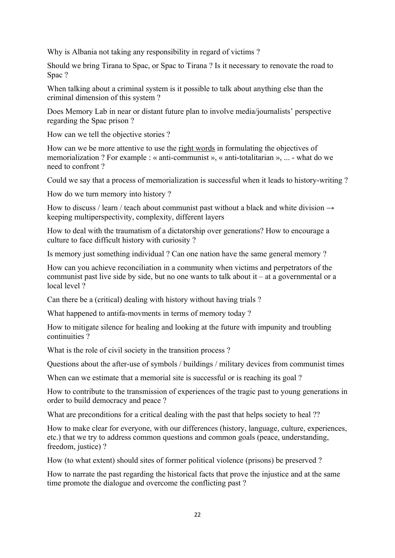Why is Albania not taking any responsibility in regard of victims ?

Should we bring Tirana to Spac, or Spac to Tirana ? Is it necessary to renovate the road to Spac ?

When talking about a criminal system is it possible to talk about anything else than the criminal dimension of this system ?

Does Memory Lab in near or distant future plan to involve media/journalists' perspective regarding the Spac prison ?

How can we tell the objective stories ?

How can we be more attentive to use the right words in formulating the objectives of memorialization ? For example : « anti-communist », « anti-totalitarian », ... - what do we need to confront ?

Could we say that a process of memorialization is successful when it leads to history-writing ?

How do we turn memory into history ?

How to discuss / learn / teach about communist past without a black and white division  $\rightarrow$ keeping multiperspectivity, complexity, different layers

How to deal with the traumatism of a dictatorship over generations? How to encourage a culture to face difficult history with curiosity ?

Is memory just something individual ? Can one nation have the same general memory ?

How can you achieve reconciliation in a community when victims and perpetrators of the communist past live side by side, but no one wants to talk about  $it - at a$  governmental or a local level ?

Can there be a (critical) dealing with history without having trials ?

What happened to antifa-movments in terms of memory today ?

How to mitigate silence for healing and looking at the future with impunity and troubling continuities ?

What is the role of civil society in the transition process?

Questions about the after-use of symbols / buildings / military devices from communist times

When can we estimate that a memorial site is successful or is reaching its goal?

How to contribute to the transmission of experiences of the tragic past to young generations in order to build democracy and peace ?

What are preconditions for a critical dealing with the past that helps society to heal ??

How to make clear for everyone, with our differences (history, language, culture, experiences, etc.) that we try to address common questions and common goals (peace, understanding, freedom, justice) ?

How (to what extent) should sites of former political violence (prisons) be preserved ?

How to narrate the past regarding the historical facts that prove the injustice and at the same time promote the dialogue and overcome the conflicting past ?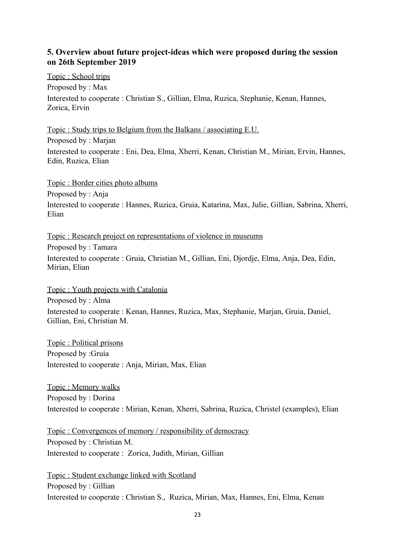#### **5. Overview about future project-ideas which were proposed during the session on 26th September 2019**

 Topic : School trips Proposed by : Max Interested to cooperate : Christian S., Gillian, Elma, Ruzica, Stephanie, Kenan, Hannes, Zorica, Ervin

 Topic : Study trips to Belgium from the Balkans / associating E.U. Proposed by : Marjan Interested to cooperate : Eni, Dea, Elma, Xherri, Kenan, Christian M., Mirian, Ervin, Hannes, Edin, Ruzica, Elian

 Topic : Border cities photo albums Proposed by : Anja Interested to cooperate : Hannes, Ruzica, Gruia, Katarina, Max, Julie, Gillian, Sabrina, Xherri, Elian

 Topic : Research project on representations of violence in museums Proposed by : Tamara Interested to cooperate : Gruia, Christian M., Gillian, Eni, Djordje, Elma, Anja, Dea, Edin, Mirian, Elian

 Topic : Youth projects with Catalonia Proposed by : Alma Interested to cooperate : Kenan, Hannes, Ruzica, Max, Stephanie, Marjan, Gruia, Daniel, Gillian, Eni, Christian M.

 Topic : Political prisons Proposed by :Gruia Interested to cooperate : Anja, Mirian, Max, Elian

 Topic : Memory walks Proposed by : Dorina Interested to cooperate : Mirian, Kenan, Xherri, Sabrina, Ruzica, Christel (examples), Elian

 Topic : Convergences of memory / responsibility of democracy Proposed by : Christian M. Interested to cooperate : Zorica, Judith, Mirian, Gillian

 Topic : Student exchange linked with Scotland Proposed by : Gillian Interested to cooperate : Christian S., Ruzica, Mirian, Max, Hannes, Eni, Elma, Kenan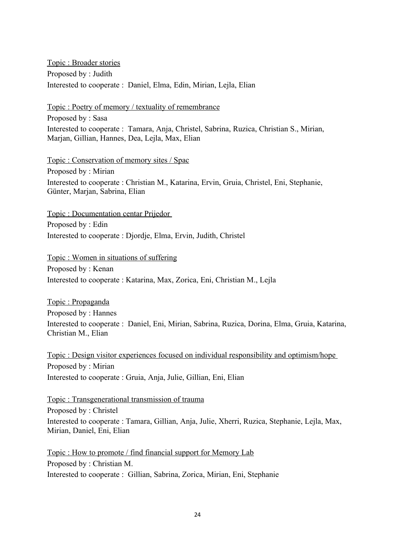Topic : Broader stories Proposed by : Judith Interested to cooperate : Daniel, Elma, Edin, Mirian, Lejla, Elian

 Topic : Poetry of memory / textuality of remembrance Proposed by : Sasa Interested to cooperate : Tamara, Anja, Christel, Sabrina, Ruzica, Christian S., Mirian, Marjan, Gillian, Hannes, Dea, Lejla, Max, Elian

 Topic : Conservation of memory sites / Spac Proposed by : Mirian Interested to cooperate : Christian M., Katarina, Ervin, Gruia, Christel, Eni, Stephanie, Günter, Marjan, Sabrina, Elian

 Topic : Documentation centar Prijedor Proposed by : Edin Interested to cooperate : Djordje, Elma, Ervin, Judith, Christel

 Topic : Women in situations of suffering Proposed by : Kenan Interested to cooperate : Katarina, Max, Zorica, Eni, Christian M., Lejla

 Topic : Propaganda Proposed by : Hannes Interested to cooperate : Daniel, Eni, Mirian, Sabrina, Ruzica, Dorina, Elma, Gruia, Katarina, Christian M., Elian

 Topic : Design visitor experiences focused on individual responsibility and optimism/hope Proposed by : Mirian Interested to cooperate : Gruia, Anja, Julie, Gillian, Eni, Elian

 Topic : Transgenerational transmission of trauma Proposed by : Christel Interested to cooperate : Tamara, Gillian, Anja, Julie, Xherri, Ruzica, Stephanie, Lejla, Max, Mirian, Daniel, Eni, Elian

 Topic : How to promote / find financial support for Memory Lab Proposed by : Christian M. Interested to cooperate : Gillian, Sabrina, Zorica, Mirian, Eni, Stephanie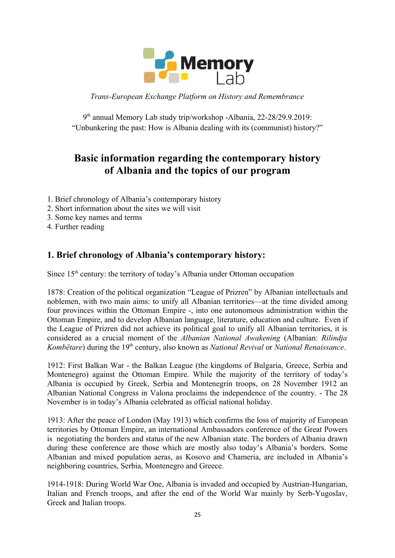

*Trans-European Exchange Platform on History and Remembrance*

9 th annual Memory Lab study trip/workshop -Albania, 22-28/29.9.2019: "Unbunkering the past: How is Albania dealing with its (communist) history?"

## **Basic information regarding the contemporary history of Albania and the topics of our program**

- 1. Brief chronology of Albania's contemporary history
- 2. Short information about the sites we will visit
- 3. Some key names and terms
- 4. Further reading

## **1. Brief chronology of Albania's contemporary history:**

Since  $15<sup>th</sup>$  century: the territory of today's Albania under Ottoman occupation

1878: Creation of the political organization "League of Prizren" by Albanian intellectuals and noblemen, with two main aims: to unify all Albanian territories—at the time divided among four provinces within the Ottoman Empire -, into one autonomous administration within the Ottoman Empire, and to develop Albanian language, literature, education and culture. Even if the League of Prizren did not achieve its political goal to unify all Albanian territories, it is considered as a crucial moment of the *Albanian National Awakening* (Albanian: *Rilindja Kombëtare*) during the 19th century, also known as *National Revival* or *National Renaissance*.

1912: First Balkan War - the Balkan League (the kingdoms of Bulgaria, Greece, Serbia and Montenegro) against the Ottoman Empire. While the majority of the territory of today's Albania is occupied by Greek, Serbia and Montenegrin troops, on 28 November 1912 an Albanian National Congress in Valona proclaims the independence of the country. - The 28 November is in today's Albania celebrated as official national holiday.

1913: After the peace of London (May 1913) which confirms the loss of majority of European territories by Ottoman Empire, an international Ambassadors conference of the Great Powers is negotiating the borders and status of the new Albanian state. The borders of Albania drawn during these conference are those which are mostly also today's Albania's borders. Some Albanian and mixed population aeras, as Kosovo and Chameria, are included in Albania's neighboring countries, Serbia, Montenegro and Greece.

1914-1918: During World War One, Albania is invaded and occupied by Austrian-Hungarian, Italian and French troops, and after the end of the World War mainly by Serb-Yugoslav, Greek and Italian troops.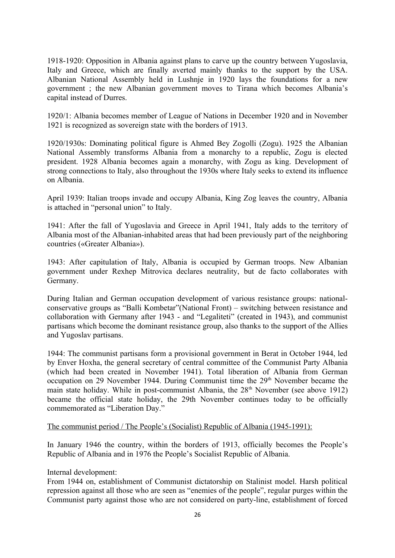1918-1920: Opposition in Albania against plans to carve up the country between Yugoslavia, Italy and Greece, which are finally averted mainly thanks to the support by the USA. Albanian National Assembly held in Lushnje in 1920 lays the foundations for a new government ; the new Albanian government moves to Tirana which becomes Albania's capital instead of Durres.

1920/1: Albania becomes member of League of Nations in December 1920 and in November 1921 is recognized as sovereign state with the borders of 1913.

1920/1930s: Dominating political figure is Ahmed Bey Zogolli (Zogu). 1925 the Albanian National Assembly transforms Albania from a monarchy to a republic, Zogu is elected president. 1928 Albania becomes again a monarchy, with Zogu as king. Development of strong connections to Italy, also throughout the 1930s where Italy seeks to extend its influence on Albania.

April 1939: Italian troops invade and occupy Albania, King Zog leaves the country, Albania is attached in "personal union" to Italy.

1941: After the fall of Yugoslavia and Greece in April 1941, Italy adds to the territory of Albania most of the Albanian-inhabited areas that had been previously part of the neighboring countries («Greater Albania»).

1943: After capitulation of Italy, Albania is occupied by German troops. New Albanian government under Rexhep Mitrovica declares neutrality, but de facto collaborates with Germany.

During Italian and German occupation development of various resistance groups: nationalconservative groups as "Balli Kombetar"(National Front) – switching between resistance and collaboration with Germany after 1943 - and "Legaliteti" (created in 1943), and communist partisans which become the dominant resistance group, also thanks to the support of the Allies and Yugoslav partisans.

1944: The communist partisans form a provisional government in Berat in October 1944, led by Enver Hoxha, the general secretary of central committee of the Communist Party Albania (which had been created in November 1941). Total liberation of Albania from German occupation on 29 November 1944. During Communist time the  $29<sup>th</sup>$  November became the main state holiday. While in post-communist Albania, the  $28<sup>th</sup>$  November (see above 1912) became the official state holiday, the 29th November continues today to be officially commemorated as "Liberation Day."

#### The communist period / The People's (Socialist) Republic of Albania (1945-1991):

In January 1946 the country, within the borders of 1913, officially becomes the People's Republic of Albania and in 1976 the People's Socialist Republic of Albania.

#### Internal development:

From 1944 on, establishment of Communist dictatorship on Stalinist model. Harsh political repression against all those who are seen as "enemies of the people", regular purges within the Communist party against those who are not considered on party-line, establishment of forced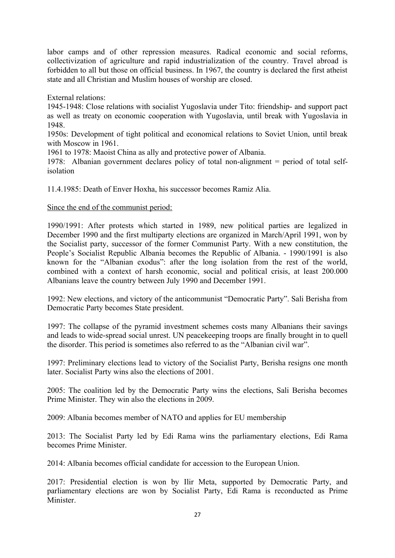labor camps and of other repression measures. Radical economic and social reforms, collectivization of agriculture and rapid industrialization of the country. Travel abroad is forbidden to all but those on official business. In 1967, the country is declared the first atheist state and all Christian and Muslim houses of worship are closed.

External relations:

1945-1948: Close relations with socialist Yugoslavia under Tito: friendship- and support pact as well as treaty on economic cooperation with Yugoslavia, until break with Yugoslavia in 1948.

1950s: Development of tight political and economical relations to Soviet Union, until break with Moscow in 1961.

1961 to 1978: Maoist China as ally and protective power of Albania.

1978: Albanian government declares policy of total non-alignment = period of total selfisolation

11.4.1985: Death of Enver Hoxha, his successor becomes Ramiz Alia.

#### Since the end of the communist period:

1990/1991: After protests which started in 1989, new political parties are legalized in December 1990 and the first multiparty elections are organized in March/April 1991, won by the Socialist party, successor of the former Communist Party. With a new constitution, the People's Socialist Republic Albania becomes the Republic of Albania. - 1990/1991 is also known for the "Albanian exodus": after the long isolation from the rest of the world, combined with a context of harsh economic, social and political crisis, at least 200.000 Albanians leave the country between July 1990 and December 1991.

1992: New elections, and victory of the anticommunist "Democratic Party". Sali Berisha from Democratic Party becomes State president.

1997: The collapse of the pyramid investment schemes costs many Albanians their savings and leads to wide-spread social unrest. UN peacekeeping troops are finally brought in to quell the disorder. This period is sometimes also referred to as the "Albanian civil war".

1997: Preliminary elections lead to victory of the Socialist Party, Berisha resigns one month later. Socialist Party wins also the elections of 2001.

2005: The coalition led by the Democratic Party wins the elections, Sali Berisha becomes Prime Minister. They win also the elections in 2009.

2009: Albania becomes member of NATO and applies for EU membership

2013: The Socialist Party led by Edi Rama wins the parliamentary elections, Edi Rama becomes Prime Minister.

2014: Albania becomes official candidate for accession to the European Union.

2017: Presidential election is won by Ilir Meta, supported by Democratic Party, and parliamentary elections are won by Socialist Party, Edi Rama is reconducted as Prime Minister.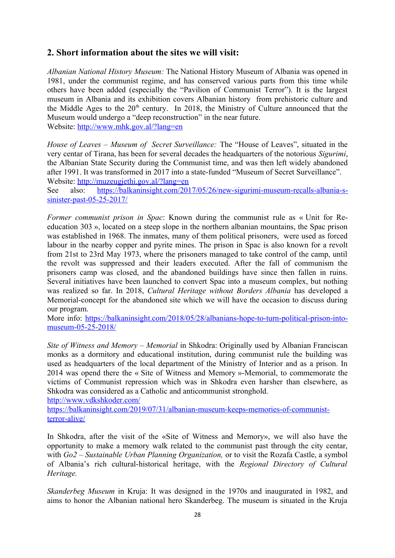## **2. Short information about the sites we will visit:**

*Albanian National History Museum:* The National History Museum of Albania was opened in 1981, under the communist regime, and has conserved various parts from this time while others have been added (especially the "Pavilion of Communist Terror"). It is the largest museum in Albania and its exhibition covers Albanian history from prehistoric culture and the Middle Ages to the  $20<sup>th</sup>$  century. In 2018, the Ministry of Culture announced that the Museum would undergo a "deep reconstruction" in the near future. Website:<http://www.mhk.gov.al/?lang=en>

*House of Leaves – Museum of Secret Surveillance:* The "House of Leaves", situated in the very centar of Tirana, has been for several decades the headquarters of the notorious *Sigurimi*, the Albanian State Security during the Communist time, and was then left widely abandoned after 1991. It was transformed in 2017 into a state-funded "Museum of Secret Surveillance". Website:<http://muzeugjethi.gov.al/?lang=en>

See also: [https://balkaninsight.com/2017/05/26/new-sigurimi-museum-recalls-albania-s](https://balkaninsight.com/2017/05/26/new-sigurimi-museum-recalls-albania-s-sinister-past-05-25-2017/)[sinister-past-05-25-2017/](https://balkaninsight.com/2017/05/26/new-sigurimi-museum-recalls-albania-s-sinister-past-05-25-2017/)

*Former communist prison in Spac*: Known during the communist rule as « Unit for Reeducation 303 », located on a steep slope in the northern albanian mountains, the Spac prison was established in 1968. The inmates, many of them political prisoners, were used as forced labour in the nearby copper and pyrite mines. The prison in Spac is also known for a revolt from 21st to 23rd May 1973, where the prisoners managed to take control of the camp, until the revolt was suppressed and their leaders executed. After the fall of communism the prisoners camp was closed, and the abandoned buildings have since then fallen in ruins. Several initiatives have been launched to convert Spac into a museum complex, but nothing was realized so far. In 2018, *Cultural Heritage without Borders Albania* has developed a Memorial-concept for the abandoned site which we will have the occasion to discuss during our program.

More info: [https://balkaninsight.com/2018/05/28/albanians-hope-to-turn-political-prison-into](https://balkaninsight.com/2018/05/28/albanians-hope-to-turn-political-prison-into-museum-05-25-2018/)[museum-05-25-2018/](https://balkaninsight.com/2018/05/28/albanians-hope-to-turn-political-prison-into-museum-05-25-2018/)

*Site of Witness and Memory – Memorial* in Shkodra: Originally used by Albanian Franciscan monks as a dormitory and educational institution, during communist rule the building was used as headquarters of the local department of the Ministry of Interior and as a prison. In 2014 was opend there the « Site of Witness and Memory »-Memorial, to commemorate the victims of Communist repression which was in Shkodra even harsher than elsewhere, as Shkodra was considered as a Catholic and anticommunist stronghold.

<http://www.vdkshkoder.com/>

[https://balkaninsight.com/2019/07/31/albanian-museum-keeps-memories-of-communist](https://balkaninsight.com/2019/07/31/albanian-museum-keeps-memories-of-communist-terror-alive/)[terror-alive/](https://balkaninsight.com/2019/07/31/albanian-museum-keeps-memories-of-communist-terror-alive/)

In Shkodra, after the visit of the «Site of Witness and Memory», we will also have the opportunity to make a memory walk related to the communist past through the city centar, with *Go2 – Sustainable Urban Planning Organization,* or to visit the Rozafa Castle, a symbol of Albania's rich cultural-historical heritage, with the *Regional Directory of Cultural Heritage.*

*Skanderbeg Museum* in Kruja: It was designed in the 1970s and inaugurated in 1982, and aims to honor the Albanian national hero Skanderbeg. The museum is situated in the Kruja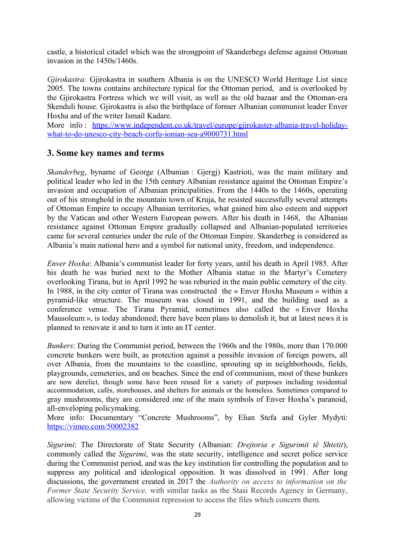castle, a historical citadel which was the strongpoint of Skanderbegs defense against Ottoman invasion in the 1450s/1460s.

*Gjirokastra:* Gjirokastra in southern Albania is on the UNESCO World Heritage List since 2005. The towns contains architecture typical for the Ottoman period, and is overlooked by the Gjirokastra Fortress which we will visit, as well as the old bazaar and the Ottoman-era Skenduli house. Gjirokastra is also the birthplace of former Albanian communist leader Enver Hoxha and of the writer Ismail Kadare.

More info : [https://www.independent.co.uk/travel/europe/gjirokaster-albania-travel-holiday](https://www.independent.co.uk/travel/europe/gjirokaster-albania-travel-holiday-what-to-do-unesco-city-beach-corfu-ionian-sea-a9000731.html)[what-to-do-unesco-city-beach-corfu-ionian-sea-a9000731.html](https://www.independent.co.uk/travel/europe/gjirokaster-albania-travel-holiday-what-to-do-unesco-city-beach-corfu-ionian-sea-a9000731.html)

#### **3. Some key names and terms**

*Skanderbeg*, byname of George (Albanian : Gjergj) Kastrioti, was the main military and political leader who led in the 15th century Albanian resistance against the Ottoman Empire's invasion and occupation of Albanian principalities. From the 1440s to the 1460s, operating out of his stronghold in the mountain town of Kruja, he resisted successfully several attempts of Ottoman Empire to occupy Albanian territories, what gained him also esteem and support by the Vatican and other Western European powers. After his death in 1468, the Albanian resistance against Ottoman Empire gradually collapsed and Albanian-populated territories came for several centuries under the rule of the Ottoman Empire. Skanderbeg is considered as Albania's main national hero and a symbol for national unity, freedom, and independence.

*Enver Hoxha*: Albania's communist leader for forty years, until his death in April 1985. After his death he was buried next to the Mother Albania statue in the Martyr's Cemetery overlooking Tirana, but in April 1992 he was reburied in the main public cemetery of the city. In 1988, in the city center of Tirana was constructed the « Enver Hoxha Museum » within a pyramid-like structure. The museum was closed in 1991, and the building used as a conference venue. The Tirana Pyramid, sometimes also called the « Enver Hoxha Mausoleum », is today abandoned; there have been plans to demolish it, but at latest news it is planned to renovate it and to turn it into an IT center.

*Bunkers*: During the Communist period, between the 1960s and the 1980s, more than 170.000 concrete bunkers were built, as protection against a possible invasion of foreign powers, all over Albania, from the mountains to the coastline, sprouting up in neighborhoods, fields, playgrounds, cemeteries, and on beaches. Since the end of communism, most of these bunkers are now derelict, though some have been reused for a variety of purposes including residential accommodation, cafés, storehouses, and shelters for animals or the homeless. Sometimes compared to gray mushrooms, they are considered one of the main symbols of Enver Hoxha's paranoid, all-enveloping policymaking.

More info: Documentary "Concrete Mushrooms", by Elian Stefa and Gyler Mydyti: <https://vimeo.com/50002382>

*Sigurimi*: The Directorate of State Security (Albanian: *Drejtoria e Sigurimit të Shtetit*), commonly called the *Sigurimi*, was the state security, intelligence and secret police service during the Communist period, and was the key institution for controlling the population and to suppress any political and ideological opposition. It was dissolved in 1991. After long discussions, the government created in 2017 the *Authority on access to information on the Former State Security Service,* with similar tasks as the Stasi Records Agency in Germany, allowing victims of the Communist repression to access the files which concern them.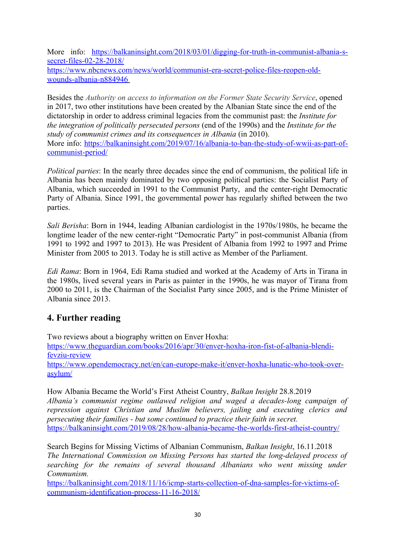More info: [https://balkaninsight.com/2018/03/01/digging-for-truth-in-communist-albania-s](https://balkaninsight.com/2018/03/01/digging-for-truth-in-communist-albania-s-secret-files-02-28-2018/)[secret-files-02-28-2018/](https://balkaninsight.com/2018/03/01/digging-for-truth-in-communist-albania-s-secret-files-02-28-2018/) [https://www.nbcnews.com/news/world/communist-era-secret-police-files-reopen-old](https://www.nbcnews.com/news/world/communist-era-secret-police-files-reopen-old-wounds-albania-n884946)  [wounds-albania-n884946](https://www.nbcnews.com/news/world/communist-era-secret-police-files-reopen-old-wounds-albania-n884946)

Besides the *Authority on access to information on the Former State Security Service*, opened in 2017, two other institutions have been created by the Albanian State since the end of the dictatorship in order to address criminal legacies from the communist past: the *Institute for the integration of politically persecuted persons* (end of the 1990s) and the *Institute for the study of communist crimes and its consequences in Albania* (in 2010). More info: [https://balkaninsight.com/2019/07/16/albania-to-ban-the-study-of-wwii-as-part-of](https://balkaninsight.com/2019/07/16/albania-to-ban-the-study-of-wwii-as-part-of-communist-period/)[communist-period/](https://balkaninsight.com/2019/07/16/albania-to-ban-the-study-of-wwii-as-part-of-communist-period/)

*Political parties*: In the nearly three decades since the end of communism, the political life in Albania has been mainly dominated by two opposing political parties: the Socialist Party of Albania, which succeeded in 1991 to the Communist Party, and the center-right Democratic Party of Albania. Since 1991, the governmental power has regularly shifted between the two parties.

*Sali Berisha*: Born in 1944, leading Albanian cardiologist in the 1970s/1980s, he became the longtime leader of the new center-right "Democratic Party" in post-communist Albania (from 1991 to 1992 and 1997 to 2013). He was President of Albania from 1992 to 1997 and Prime Minister from 2005 to 2013. Today he is still active as Member of the Parliament.

*Edi Rama*: Born in 1964, Edi Rama studied and worked at the Academy of Arts in Tirana in the 1980s, lived several years in Paris as painter in the 1990s, he was mayor of Tirana from 2000 to 2011, is the Chairman of the Socialist Party since 2005, and is the Prime Minister of Albania since 2013.

## **4. Further reading**

Two reviews about a biography written on Enver Hoxha:

[https://www.theguardian.com/books/2016/apr/30/enver-hoxha-iron-fist-of-albania-blendi](https://www.theguardian.com/books/2016/apr/30/enver-hoxha-iron-fist-of-albania-blendi-fevziu-review)[fevziu-review](https://www.theguardian.com/books/2016/apr/30/enver-hoxha-iron-fist-of-albania-blendi-fevziu-review)

[https://www.opendemocracy.net/en/can-europe-make-it/enver-hoxha-lunatic-who-took-over](https://www.opendemocracy.net/en/can-europe-make-it/enver-hoxha-lunatic-who-took-over-asylum/)[asylum/](https://www.opendemocracy.net/en/can-europe-make-it/enver-hoxha-lunatic-who-took-over-asylum/)

How Albania Became the World's First Atheist Country, *Balkan Insight* 28.8.2019 *Albania's communist regime outlawed religion and waged a decades-long campaign of repression against Christian and Muslim believers, jailing and executing clerics and persecuting their families - but some continued to practice their faith in secret.*  <https://balkaninsight.com/2019/08/28/how-albania-became-the-worlds-first-atheist-country/>

Search Begins for Missing Victims of Albanian Communism, *Balkan Insight*, 16.11.2018 *The International Commission on Missing Persons has started the long-delayed process of searching for the remains of several thousand Albanians who went missing under Communism.* 

[https://balkaninsight.com/2018/11/16/icmp-starts-collection-of-dna-samples-for-victims-of](https://balkaninsight.com/2018/11/16/icmp-starts-collection-of-dna-samples-for-victims-of-communism-identification-process-11-16-2018/)[communism-identification-process-11-16-2018/](https://balkaninsight.com/2018/11/16/icmp-starts-collection-of-dna-samples-for-victims-of-communism-identification-process-11-16-2018/)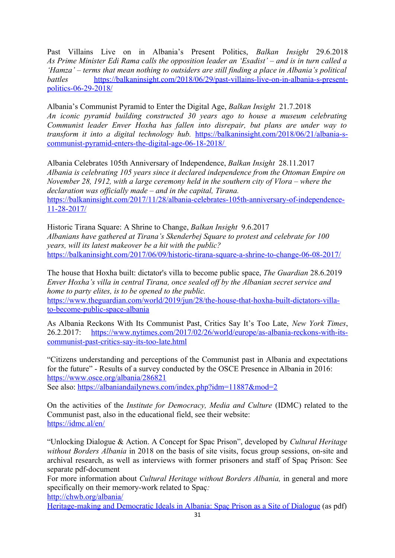Past Villains Live on in Albania's Present Politics, *Balkan Insight* 29.6.2018 *As Prime Minister Edi Rama calls the opposition leader an 'Esadist' – and is in turn called a 'Hamza' – terms that mean nothing to outsiders are still finding a place in Albania's political battles* [https://balkaninsight.com/2018/06/29/past-villains-live-on-in-albania-s-present](https://balkaninsight.com/2018/06/29/past-villains-live-on-in-albania-s-present-politics-06-29-2018/)[politics-06-29-2018/](https://balkaninsight.com/2018/06/29/past-villains-live-on-in-albania-s-present-politics-06-29-2018/)

Albania's Communist Pyramid to Enter the Digital Age, *Balkan Insight* 21.7.2018 *An iconic pyramid building constructed 30 years ago to house a museum celebrating Communist leader Enver Hoxha has fallen into disrepair, but plans are under way to transform it into a digital technology hub.* [https://balkaninsight.com/2018/06/21/albania-s](https://balkaninsight.com/2018/06/21/albania-s-communist-pyramid-enters-the-digital-age-06-18-2018/)  [communist-pyramid-enters-the-digital-age-06-18-2018/](https://balkaninsight.com/2018/06/21/albania-s-communist-pyramid-enters-the-digital-age-06-18-2018/)

Albania Celebrates 105th Anniversary of Independence, *Balkan Insight* 28.11.2017 *Albania is celebrating 105 years since it declared independence from the Ottoman Empire on November 28, 1912, with a large ceremony held in the southern city of Vlora – where the declaration was officially made – and in the capital, Tirana.*  [https://balkaninsight.com/2017/11/28/albania-celebrates-105th-anniversary-of-independence-](https://balkaninsight.com/2017/11/28/albania-celebrates-105th-anniversary-of-independence-11-28-2017/)[11-28-2017/](https://balkaninsight.com/2017/11/28/albania-celebrates-105th-anniversary-of-independence-11-28-2017/)

Historic Tirana Square: A Shrine to Change, *Balkan Insight* 9.6.2017 *Albanians have gathered at Tirana's Skenderbej Square to protest and celebrate for 100 years, will its latest makeover be a hit with the public?* <https://balkaninsight.com/2017/06/09/historic-tirana-square-a-shrine-to-change-06-08-2017/>

The house that Hoxha built: dictator's villa to become public space, *The Guardian* 28.6.2019 *Enver Hoxha's villa in central Tirana, once sealed off by the Albanian secret service and home to party elites, is to be opened to the public.* [https://www.theguardian.com/world/2019/jun/28/the-house-that-hoxha-built-dictators-villa-](https://www.theguardian.com/world/2019/jun/28/the-house-that-hoxha-built-dictators-villa-to-become-public-space-albania)

[to-become-public-space-albania](https://www.theguardian.com/world/2019/jun/28/the-house-that-hoxha-built-dictators-villa-to-become-public-space-albania)

As Albania Reckons With Its Communist Past, Critics Say It's Too Late, *New York Times*, 26.2.2017: [https://www.nytimes.com/2017/02/26/world/europe/as-albania-reckons-with-its](https://www.nytimes.com/2017/02/26/world/europe/as-albania-reckons-with-its-communist-past-critics-say-its-too-late.html)[communist-past-critics-say-its-too-late.html](https://www.nytimes.com/2017/02/26/world/europe/as-albania-reckons-with-its-communist-past-critics-say-its-too-late.html)

"Citizens understanding and perceptions of the Communist past in Albania and expectations for the future" - Results of a survey conducted by the OSCE Presence in Albania in 2016: <https://www.osce.org/albania/286821> See also:<https://albaniandailynews.com/index.php?idm=11887&mod=2>

On the activities of the *Institute for Democracy, Media and Culture* (IDMC) related to the

Communist past, also in the educational field, see their website: <https://idmc.al/en/>

"Unlocking Dialogue & Action. A Concept for Spac Prison", developed by *Cultural Heritage without Borders Albania* in 2018 on the basis of site visits, focus group sessions, on-site and archival research, as well as interviews with former prisoners and staff of Spaç Prison: See separate pdf-document

For more information about *Cultural Heritage without Borders Albania,* in general and more specifically on their memory-work related to Spaç*:* 

<http://chwb.org/albania/>

[Heritage-making and Democratic Ideals in Albania: Spaç Prison as a Site of Dialogue](http://openarchive.icomos.org/1977/1/4._ICOA_1487_Eaton_SM.pdf) (as pdf)